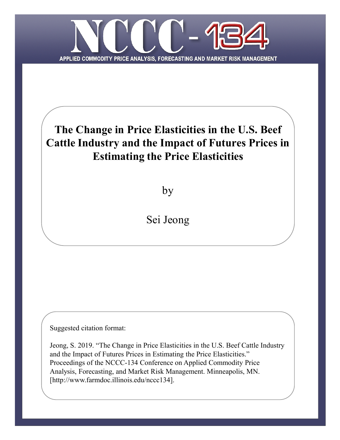

# **The Change in Price Elasticities in the U.S. Beef Cattle Industry and the Impact of Futures Prices in Estimating the Price Elasticities**

by

Sei Jeong

Suggested citation format:

Jeong, S. 2019. "The Change in Price Elasticities in the U.S. Beef Cattle Industry and the Impact of Futures Prices in Estimating the Price Elasticities." Proceedings of the NCCC-134 Conference on Applied Commodity Price Analysis, Forecasting, and Market Risk Management. Minneapolis, MN. [http://www.farmdoc.illinois.edu/nccc134].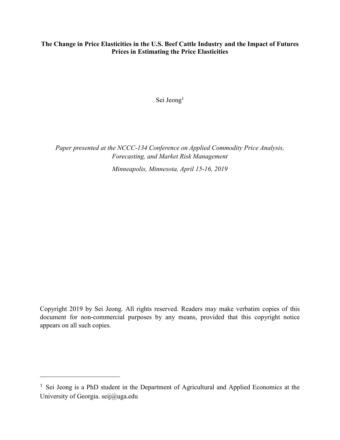# **The Change in Price Elasticities in the U.S. Beef Cattle Industry and the Impact of Futures Prices in Estimating the Price Elasticities**

Sei Jeong<sup>1</sup>

*Paper presented at the NCCC-134 Conference on Applied Commodity Price Analysis, Forecasting, and Market Risk Management*

*Minneapolis, Minnesota, April 15-16, 2019*

Copyright 2019 by Sei Jeong. All rights reserved. Readers may make verbatim copies of this document for non-commercial purposes by any means, provided that this copyright notice appears on all such copies.

<sup>1</sup> Sei Jeong is a PhD student in the Department of Agricultural and Applied Economics at the University of Georgia. seij@uga.edu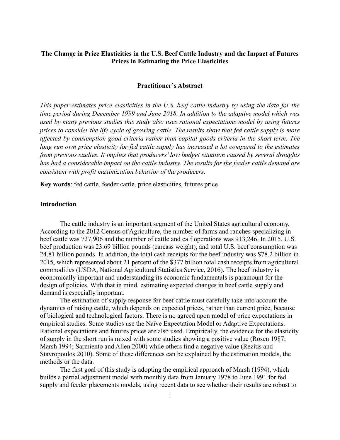### **The Change in Price Elasticities in the U.S. Beef Cattle Industry and the Impact of Futures Prices in Estimating the Price Elasticities**

#### **Practitioner's Abstract**

*This paper estimates price elasticities in the U.S. beef cattle industry by using the data for the time period during December 1999 and June 2018. In addition to the adaptive model which was used by many previous studies this study also uses rational expectations model by using futures prices to consider the life cycle of growing cattle. The results show that fed cattle supply is more affected by consumption good criteria rather than capital goods criteria in the short term. The long run own price elasticity for fed cattle supply has increased a lot compared to the estimates from previous studies. It implies that producers' low budget situation caused by several droughts has had a considerable impact on the cattle industry. The results for the feeder cattle demand are consistent with profit maximization behavior of the producers.* 

**Key words**: fed cattle, feeder cattle, price elasticities, futures price

#### **Introduction**

The cattle industry is an important segment of the United States agricultural economy. According to the 2012 Census of Agriculture, the number of farms and ranches specializing in beef cattle was 727,906 and the number of cattle and calf operations was 913,246. In 2015, U.S. beef production was 23.69 billion pounds (carcass weight), and total U.S. beef consumption was 24.81 billion pounds. In addition, the total cash receipts for the beef industry was \$78.2 billion in 2015, which represented about 21 percent of the \$377 billion total cash receipts from agricultural commodities (USDA, National Agricultural Statistics Service, 2016). The beef industry is economically important and understanding its economic fundamentals is paramount for the design of policies. With that in mind, estimating expected changes in beef cattle supply and demand is especially important.

The estimation of supply response for beef cattle must carefully take into account the dynamics of raising cattle, which depends on expected prices, rather than current price, because of biological and technological factors. There is no agreed upon model of price expectations in empirical studies. Some studies use the Naïve Expectation Model or Adaptive Expectations. Rational expectations and futures prices are also used. Empirically, the evidence for the elasticity of supply in the short run is mixed with some studies showing a positive value (Rosen 1987; Marsh 1994; Sarmiento and Allen 2000) while others find a negative value (Rezitis and Stavropoulos 2010). Some of these differences can be explained by the estimation models, the methods or the data.

The first goal of this study is adopting the empirical approach of Marsh (1994), which builds a partial adjustment model with monthly data from January 1978 to June 1991 for fed supply and feeder placements models, using recent data to see whether their results are robust to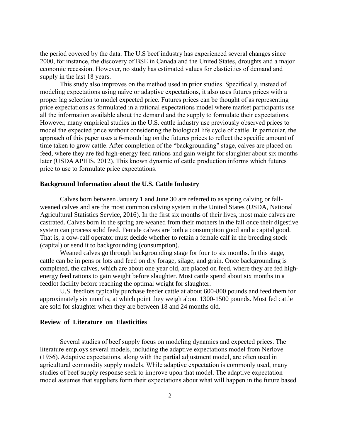the period covered by the data. The U.S beef industry has experienced several changes since 2000, for instance, the discovery of BSE in Canada and the United States, droughts and a major economic recession. However, no study has estimated values for elasticities of demand and supply in the last 18 years.

This study also improves on the method used in prior studies. Specifically, instead of modeling expectations using naïve or adaptive expectations, it also uses futures prices with a proper lag selection to model expected price. Futures prices can be thought of as representing price expectations as formulated in a rational expectations model where market participants use all the information available about the demand and the supply to formulate their expectations. However, many empirical studies in the U.S. cattle industry use previously observed prices to model the expected price without considering the biological life cycle of cattle. In particular, the approach of this paper uses a 6-month lag on the futures prices to reflect the specific amount of time taken to grow cattle. After completion of the "backgrounding" stage, calves are placed on feed, where they are fed high-energy feed rations and gain weight for slaughter about six months later (USDA APHIS, 2012). This known dynamic of cattle production informs which futures price to use to formulate price expectations.

#### **Background Information about the U.S. Cattle Industry**

Calves born between January 1 and June 30 are referred to as spring calving or fallweaned calves and are the most common calving system in the United States (USDA, National Agricultural Statistics Service, 2016). In the first six months of their lives, most male calves are castrated. Calves born in the spring are weaned from their mothers in the fall once their digestive system can process solid feed. Female calves are both a consumption good and a capital good. That is, a cow-calf operator must decide whether to retain a female calf in the breeding stock (capital) or send it to backgrounding (consumption).

Weaned calves go through backgrounding stage for four to six months. In this stage, cattle can be in pens or lots and feed on dry forage, silage, and grain. Once backgrounding is completed, the calves, which are about one year old, are placed on feed, where they are fed highenergy feed rations to gain weight before slaughter. Most cattle spend about six months in a feedlot facility before reaching the optimal weight for slaughter.

U.S. feedlots typically purchase feeder cattle at about 600-800 pounds and feed them for approximately six months, at which point they weigh about 1300-1500 pounds. Most fed cattle are sold for slaughter when they are between 18 and 24 months old.

#### **Review of Literature on Elasticities**

Several studies of beef supply focus on modeling dynamics and expected prices. The literature employs several models, including the adaptive expectations model from Nerlove (1956). Adaptive expectations, along with the partial adjustment model, are often used in agricultural commodity supply models. While adaptive expectation is commonly used, many studies of beef supply response seek to improve upon that model. The adaptive expectation model assumes that suppliers form their expectations about what will happen in the future based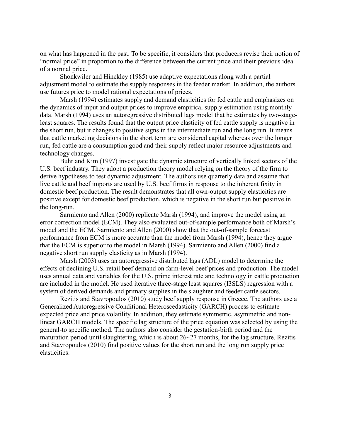on what has happened in the past. To be specific, it considers that producers revise their notion of "normal price" in proportion to the difference between the current price and their previous idea of a normal price.

Shonkwiler and Hinckley (1985) use adaptive expectations along with a partial adjustment model to estimate the supply responses in the feeder market. In addition, the authors use futures price to model rational expectations of prices.

Marsh (1994) estimates supply and demand elasticities for fed cattle and emphasizes on the dynamics of input and output prices to improve empirical supply estimation using monthly data. Marsh (1994) uses an autoregressive distributed lags model that he estimates by two-stageleast squares. The results found that the output price elasticity of fed cattle supply is negative in the short run, but it changes to positive signs in the intermediate run and the long run. It means that cattle marketing decisions in the short term are considered capital whereas over the longer run, fed cattle are a consumption good and their supply reflect major resource adjustments and technology changes.

Buhr and Kim (1997) investigate the dynamic structure of vertically linked sectors of the U.S. beef industry. They adopt a production theory model relying on the theory of the firm to derive hypotheses to test dynamic adjustment. The authors use quarterly data and assume that live cattle and beef imports are used by U.S. beef firms in response to the inherent fixity in domestic beef production. The result demonstrates that all own-output supply elasticities are positive except for domestic beef production, which is negative in the short run but positive in the long-run.

Sarmiento and Allen (2000) replicate Marsh (1994), and improve the model using an error correction model (ECM). They also evaluated out-of-sample performance both of Marsh's model and the ECM. Sarmiento and Allen (2000) show that the out-of-sample forecast performance from ECM is more accurate than the model from Marsh (1994), hence they argue that the ECM is superior to the model in Marsh (1994). Sarmiento and Allen (2000) find a negative short run supply elasticity as in Marsh (1994).

Marsh (2003) uses an autoregressive distributed lags (ADL) model to determine the effects of declining U.S. retail beef demand on farm-level beef prices and production. The model uses annual data and variables for the U.S. prime interest rate and technology in cattle production are included in the model. He used iterative three-stage least squares (I3SLS) regression with a system of derived demands and primary supplies in the slaughter and feeder cattle sectors.

Rezitis and Stavropoulos (2010) study beef supply response in Greece. The authors use a Generalized Autoregressive Conditional Heteroscedasticity (GARCH) process to estimate expected price and price volatility. In addition, they estimate symmetric, asymmetric and nonlinear GARCH models. The specific lag structure of the price equation was selected by using the general-to specific method. The authors also consider the gestation-birth period and the maturation period until slaughtering, which is about  $26~27$  months, for the lag structure. Rezitis and Stavropoulos (2010) find positive values for the short run and the long run supply price elasticities.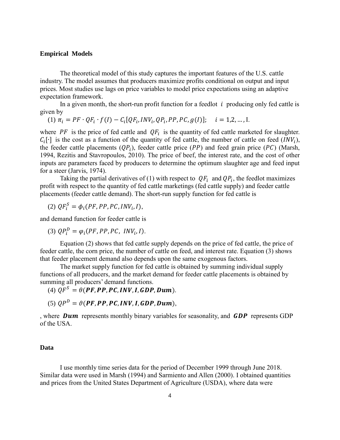#### **Empirical Models**

The theoretical model of this study captures the important features of the U.S. cattle industry. The model assumes that producers maximize profits conditional on output and input prices. Most studies use lags on price variables to model price expectations using an adaptive expectation framework.

In a given month, the short-run profit function for a feedlot  $i$  producing only fed cattle is given by

(1) 
$$
\pi_i = PF \cdot QF_i \cdot f(I) - C_i[QF_i, INV_i, QP_i, PP, PC, g(I)]; \quad i = 1, 2, ..., I.
$$

where PF is the price of fed cattle and  $QF_i$  is the quantity of fed cattle marketed for slaughter.  $C_i[\cdot]$  is the cost as a function of the quantity of fed cattle, the number of cattle on feed (INV<sub>i</sub>), the feeder cattle placements  $(QP_i)$ , feeder cattle price  $(PP)$  and feed grain price  $(PC)$  (Marsh, 1994, Rezitis and Stavropoulos, 2010). The price of beef, the interest rate, and the cost of other inputs are parameters faced by producers to determine the optimum slaughter age and feed input for a steer (Jarvis, 1974).

Taking the partial derivatives of (1) with respect to  $QF_i$  and  $QP_i$ , the feedlot maximizes profit with respect to the quantity of fed cattle marketings (fed cattle supply) and feeder cattle placements (feeder cattle demand). The short-run supply function for fed cattle is

(2)  $QF_i^S = \phi_i(PF, PP, PC, INV_i, I),$ 

and demand function for feeder cattle is

(3)  $QP_i^D = \varphi_i(PF, PP, PC, INV_i, I).$ 

Equation (2) shows that fed cattle supply depends on the price of fed cattle, the price of feeder cattle, the corn price, the number of cattle on feed, and interest rate. Equation (3) shows that feeder placement demand also depends upon the same exogenous factors.

The market supply function for fed cattle is obtained by summing individual supply functions of all producers, and the market demand for feeder cattle placements is obtained by summing all producers' demand functions.

(4)  $QF^S = \theta(PF, PP, PC, INV, I, GDP, Dum)$ .

(5)  $OP^D = \vartheta(PF, PP, PC, INV, I, GDP, Dum)$ .

, where **Dum** represents monthly binary variables for seasonality, and **GDP** represents GDP of the USA.

#### **Data**

I use monthly time series data for the period of December 1999 through June 2018. Similar data were used in Marsh (1994) and Sarmiento and Allen (2000). I obtained quantities and prices from the United States Department of Agriculture (USDA), where data were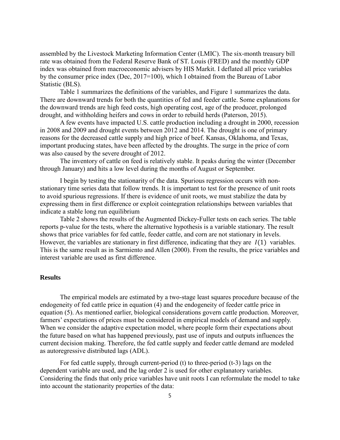assembled by the Livestock Marketing Information Center (LMIC). The six-month treasury bill rate was obtained from the Federal Reserve Bank of ST. Louis (FRED) and the monthly GDP index was obtained from macroeconomic advisers by HIS Markit. I deflated all price variables by the consumer price index (Dec, 2017=100), which I obtained from the Bureau of Labor Statistic (BLS).

Table 1 summarizes the definitions of the variables, and Figure 1 summarizes the data. There are downward trends for both the quantities of fed and feeder cattle. Some explanations for the downward trends are high feed costs, high operating cost, age of the producer, prolonged drought, and withholding heifers and cows in order to rebuild herds (Paterson, 2015).

A few events have impacted U.S. cattle production including a drought in 2000, recession in 2008 and 2009 and drought events between 2012 and 2014. The drought is one of primary reasons for the decreased cattle supply and high price of beef. Kansas, Oklahoma, and Texas, important producing states, have been affected by the droughts. The surge in the price of corn was also caused by the severe drought of 2012.

The inventory of cattle on feed is relatively stable. It peaks during the winter (December through January) and hits a low level during the months of August or September.

I begin by testing the stationarity of the data. Spurious regression occurs with nonstationary time series data that follow trends. It is important to test for the presence of unit roots to avoid spurious regressions. If there is evidence of unit roots, we must stabilize the data by expressing them in first difference or exploit cointegration relationships between variables that indicate a stable long run equilibrium

Table 2 shows the results of the Augmented Dickey-Fuller tests on each series. The table reports p-value for the tests, where the alternative hypothesis is a variable stationary. The result shows that price variables for fed cattle, feeder cattle, and corn are not stationary in levels. However, the variables are stationary in first difference, indicating that they are  $I(1)$  variables. This is the same result as in Sarmiento and Allen (2000). From the results, the price variables and interest variable are used as first difference.

#### **Results**

The empirical models are estimated by a two-stage least squares procedure because of the endogeneity of fed cattle price in equation (4) and the endogeneity of feeder cattle price in equation (5). As mentioned earlier, biological considerations govern cattle production. Moreover, farmers' expectations of prices must be considered in empirical models of demand and supply. When we consider the adaptive expectation model, where people form their expectations about the future based on what has happened previously, past use of inputs and outputs influences the current decision making. Therefore, the fed cattle supply and feeder cattle demand are modeled as autoregressive distributed lags (ADL).

For fed cattle supply, through current-period (t) to three-period (t-3) lags on the dependent variable are used, and the lag order 2 is used for other explanatory variables. Considering the finds that only price variables have unit roots I can reformulate the model to take into account the stationarity properties of the data: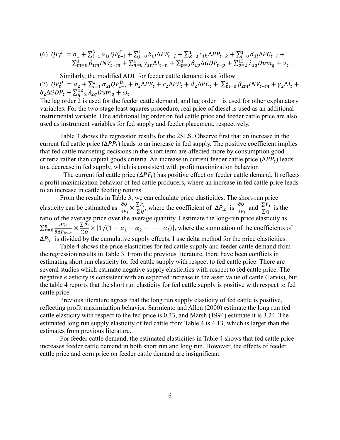$$
(6) \tQF_t^S = a_1 + \sum_{i=1}^3 \alpha_{1i} QF_{t-i}^S + \sum_{j=0}^1 b_{1j} \Delta PF_{t-j} + \sum_{k=0}^1 c_{1k} \Delta PP_{t-k} + \sum_{l=0}^1 d_{1l} \Delta PC_{t-l} + \sum_{m=0}^1 \beta_{1m} INV_{t-m} + \sum_{n=0}^1 \gamma_{1n} \Delta I_{t-n} + \sum_{p=0}^1 \delta_{1p} \Delta GDP_{t-p} + \sum_{q=2}^{12} \lambda_{1q} Dum_q + \nu_t.
$$

Similarly, the modified ADL for feeder cattle demand is as follow (7)  $QP_t^D = a_2 + \sum_{i=1}^2 \alpha_{2i}QP_{t-i}^D + b_2\Delta PF_t + c_2\Delta PP_t + d_2\Delta PC_t + \sum_{m=0}^1 \beta_{2m}INV_{t-m} + \gamma_2\Delta I_t +$  $\delta_2 \Delta GDP_t + \sum_{q=2}^{12} \lambda_{2q} Dum_q + \omega_t$ .

The lag order 2 is used for the feeder cattle demand, and lag order 1 is used for other explanatory variables. For the two-stage least squares procedure, real price of diesel is used as an additional instrumental variable. One additional lag order on fed cattle price and feeder cattle price are also used as instrument variables for fed supply and feeder placement, respectively.

Table 3 shows the regression results for the 2SLS. Observe first that an increase in the current fed cattle price  $(\Delta PP_t)$  leads to an increase in fed supply. The positive coefficient implies that fed cattle marketing decisions in the short term are affected more by consumption good criteria rather than capital goods criteria. An increase in current feeder cattle price  $(\Delta PP_t)$  leads to a decrease in fed supply, which is consistent with profit maximization behavior.

The current fed cattle price  $(\Delta PF_t)$  has positive effect on feeder cattle demand. It reflects a profit maximization behavior of fed cattle producers, where an increase in fed cattle price leads to an increase in cattle feeding returns.

From the results in Table 3, we can calculate price elasticities. The short-run price elasticity can be estimated as  $\frac{\partial Q}{\partial P_i} \times \frac{\sum P_i}{\sum Q}$  $\frac{\sum P_i}{\sum Q}$ , where the coefficient of  $\Delta P_{it}$  is  $\frac{\partial Q}{\partial P_i}$  $\frac{\partial Q}{\partial P_i}$  and  $\frac{\sum P_i}{\sum Q}$  is the ratio of the average price over the average quantity. I estimate the long-run price elasticity as  $\sum_{r=0}^{n} \frac{\partial Q_t}{\partial x_i}$  $\partial \Delta P_{it-r}$  $\frac{n}{r=0} \frac{\partial Q_t}{\partial \Delta P_{i,t}} \times \frac{\sum P_i}{\sum Q_i}$  $\frac{\sum P_i}{\sum Q} \times [1/(1 - \alpha_1 - \alpha_2 - \cdots - \alpha_l)],$  where the summation of the coefficients of  $\Delta P_{it}$  is divided by the cumulative supply effects. I use delta method for the price elasticities.

Table 4 shows the price elasticities for fed cattle supply and feeder cattle demand from the regression results in Table 3. From the previous literature, there have been conflicts in estimating short run elasticity for fed cattle supply with respect to fed cattle price. There are several studies which estimate negative supply elasticities with respect to fed cattle price. The negative elasticity is consistent with an expected increase in the asset value of cattle (Jarvis), but the table 4 reports that the short run elasticity for fed cattle supply is positive with respect to fed cattle price.

Previous literature agrees that the long run supply elasticity of fed cattle is positive, reflecting profit maximization behavior. Sarmiento and Allen (2000) estimate the long run fed cattle elasticity with respect to the fed price is 0.33, and Marsh (1994) estimate it is 3.24. The estimated long run supply elasticity of fed cattle from Table 4 is 4.13, which is larger than the estimates from previous literature.

For feeder cattle demand, the estimated elasticities in Table 4 shows that fed cattle price increases feeder cattle demand in both short run and long run. However, the effects of feeder cattle price and corn price on feeder cattle demand are insignificant.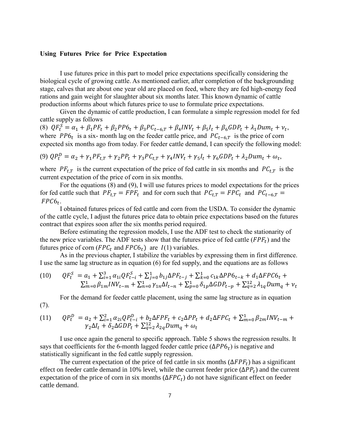#### **Using Futures Price for Price Expectation**

(7).

I use futures price in this part to model price expectations specifically considering the biological cycle of growing cattle. As mentioned earlier, after completion of the backgrounding stage, calves that are about one year old are placed on feed, where they are fed high-energy feed rations and gain weight for slaughter about six months later. This known dynamic of cattle production informs about which futures price to use to formulate price expectations.

Given the dynamic of cattle production, I can formulate a simple regression model for fed cattle supply as follows

(8)  $QF_t^S = \alpha_1 + \beta_1 PF_t + \beta_2 PP6_t + \beta_3 PC_{t-6,T} + \beta_4 INV_t + \beta_5 I_t + \beta_6 GDP_t + \lambda_1 Dum_t + \nu_t,$ where  $PP6_t$  is a six-month lag on the feeder cattle price, and  $PC_{t-6,T}$  is the price of corn expected six months ago from today. For feeder cattle demand, I can specify the following model:

(9) 
$$
QP_t^D = \alpha_2 + \gamma_1 PF_{t,T} + \gamma_2 PP_t + \gamma_3 PC_{t,T} + \gamma_4 INV_t + \gamma_5 I_t + \gamma_6 GDP_t + \lambda_2 Dum_t + \omega_t
$$
,

where  $PF_{t,T}$  is the current expectation of the price of fed cattle in six months and  $PC_{t,T}$  is the current expectation of the price of corn in six months.

For the equations (8) and (9), I will use futures prices to model expectations for the prices for fed cattle such that  $PF_{t,T} = FPF_t$  and for corn such that  $PC_{t,T} = FPC_t$  and  $PC_{t-6,T}$  $FPC6_t$ .

I obtained futures prices of fed cattle and corn from the USDA. To consider the dynamic of the cattle cycle, I adjust the futures price data to obtain price expectations based on the futures contract that expires soon after the six months period required.

Before estimating the regression models, I use the ADF test to check the stationarity of the new price variables. The ADF tests show that the futures price of fed cattle  $(FPF_t)$  and the futures price of corn ( $FPC<sub>t</sub>$  and  $FPC6<sub>t</sub>$ ) are  $I(1)$  variables.

As in the previous chapter, I stabilize the variables by expressing them in first difference. I use the same lag structure as in equation (6) for fed supply, and the equations are as follows

$$
\begin{array}{lll} (10) & QF_{t}^{S} & = a_{1} + \sum_{i=1}^{3} \alpha_{1i} QF_{t-i}^{S} + \sum_{j=0}^{1} b_{1j} \Delta PF_{t-j} + \sum_{k=0}^{1} c_{1k} \Delta PP6_{t-k} + d_{1} \Delta FPC6_{t} + \\ & \sum_{m=0}^{1} \beta_{1m} INV_{t-m} + \sum_{n=0}^{1} \gamma_{1n} \Delta I_{t-n} + \sum_{p=0}^{1} \delta_{1p} \Delta GDP_{t-p} + \sum_{q=2}^{12} \lambda_{1q} Dum_{q} + \nu_{t} \end{array}
$$

For the demand for feeder cattle placement, using the same lag structure as in equation

(11) 
$$
QP_t^D = a_2 + \sum_{i=1}^2 \alpha_{2i}QP_{t-i}^D + b_2\Delta FPF_t + c_2\Delta PP_t + d_2\Delta FPC_t + \sum_{m=0}^1 \beta_{2m}INV_{t-m} + \gamma_2\Delta I_t + \delta_2\Delta GDP_t + \sum_{q=2}^{12} \lambda_{2q}Dum_q + \omega_t
$$

I use once again the general to specific approach. Table 5 shows the regression results. It says that coefficients for the 6-month lagged feeder cattle price  $(\Delta PP6_t)$  is negative and statistically significant in the fed cattle supply regression.

The current expectation of the price of fed cattle in six months  $(\Delta F P F_t)$  has a significant effect on feeder cattle demand in 10% level, while the current feeder price  $(\Delta PP_t)$  and the current expectation of the price of corn in six months  $(\Delta FPC_t)$  do not have significant effect on feeder cattle demand.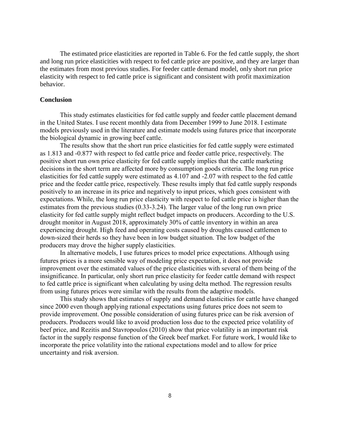The estimated price elasticities are reported in Table 6. For the fed cattle supply, the short and long run price elasticities with respect to fed cattle price are positive, and they are larger than the estimates from most previous studies. For feeder cattle demand model, only short run price elasticity with respect to fed cattle price is significant and consistent with profit maximization behavior.

#### **Conclusion**

This study estimates elasticities for fed cattle supply and feeder cattle placement demand in the United States. I use recent monthly data from December 1999 to June 2018. I estimate models previously used in the literature and estimate models using futures price that incorporate the biological dynamic in growing beef cattle.

The results show that the short run price elasticities for fed cattle supply were estimated as 1.813 and -0.877 with respect to fed cattle price and feeder cattle price, respectively. The positive short run own price elasticity for fed cattle supply implies that the cattle marketing decisions in the short term are affected more by consumption goods criteria. The long run price elasticities for fed cattle supply were estimated as 4.107 and -2.07 with respect to the fed cattle price and the feeder cattle price, respectively. These results imply that fed cattle supply responds positively to an increase in its price and negatively to input prices, which goes consistent with expectations. While, the long run price elasticity with respect to fed cattle price is higher than the estimates from the previous studies (0.33-3.24). The larger value of the long run own price elasticity for fed cattle supply might reflect budget impacts on producers. According to the U.S. drought monitor in August 2018, approximately 30% of cattle inventory in within an area experiencing drought. High feed and operating costs caused by droughts caused cattlemen to down-sized their herds so they have been in low budget situation. The low budget of the producers may drove the higher supply elasticities.

In alternative models, I use futures prices to model price expectations. Although using futures prices is a more sensible way of modeling price expectation, it does not provide improvement over the estimated values of the price elasticities with several of them being of the insignificance. In particular, only short run price elasticity for feeder cattle demand with respect to fed cattle price is significant when calculating by using delta method. The regression results from using futures prices were similar with the results from the adaptive models.

This study shows that estimates of supply and demand elasticities for cattle have changed since 2000 even though applying rational expectations using futures price does not seem to provide improvement. One possible consideration of using futures price can be risk aversion of producers. Producers would like to avoid production loss due to the expected price volatility of beef price, and Rezitis and Stavropoulos (2010) show that price volatility is an important risk factor in the supply response function of the Greek beef market. For future work, I would like to incorporate the price volatility into the rational expectations model and to allow for price uncertainty and risk aversion.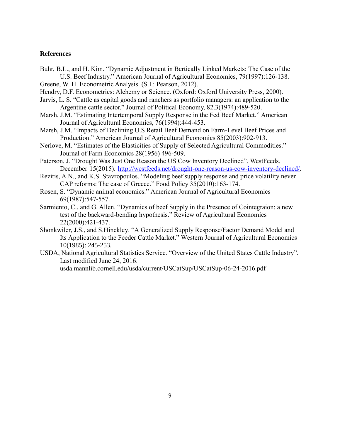#### **References**

- Buhr, B.L., and H. Kim. "Dynamic Adjustment in Bertically Linked Markets: The Case of the U.S. Beef Industry." American Journal of Agricultural Economics, 79(1997):126-138.
- Greene, W. H. Econometric Analysis. (S.I.: Pearson, 2012).
- Hendry, D.F. Econometrics: Alchemy or Science. (Oxford: Oxford University Press, 2000).
- Jarvis, L. S. "Cattle as capital goods and ranchers as portfolio managers: an application to the Argentine cattle sector." Journal of Political Economy, 82.3(1974):489-520.
- Marsh, J.M. "Estimating Intertemporal Supply Response in the Fed Beef Market." American Journal of Agricultural Economics, 76(1994):444-453.
- Marsh, J.M. "Impacts of Declining U.S Retail Beef Demand on Farm-Level Beef Prices and Production." American Journal of Agricultural Economics 85(2003):902-913.
- Nerlove, M. "Estimates of the Elasticities of Supply of Selected Agricultural Commodities." Journal of Farm Economics 28(1956) 496-509.
- Paterson, J. "Drought Was Just One Reason the US Cow Inventory Declined". WestFeeds. December 15(2015). [http://westfeeds.net/drought-one-reason-us-cow-inventory-declined/.](http://westfeeds.net/drought-one-reason-us-cow-inventory-declined/)
- Rezitis, A.N., and K.S. Stavropoulos. "Modeling beef supply response and price volatility never CAP reforms: The case of Greece." Food Policy 35(2010):163-174.
- Rosen, S. "Dynamic animal economics." American Journal of Agricultural Economics 69(1987):547-557.
- Sarmiento, C., and G. Allen. "Dynamics of beef Supply in the Presence of Cointegraion: a new test of the backward-bending hypothesis." Review of Agricultural Economics 22(2000):421-437.
- Shonkwiler, J.S., and S.Hinckley. "A Generalized Supply Response/Factor Demand Model and Its Application to the Feeder Cattle Market." Western Journal of Agricultural Economics 10(1985): 245-253.
- USDA, National Agricultural Statistics Service. "Overview of the United States Cattle Industry". Last modified June 24, 2016.

usda.mannlib.cornell.edu/usda/current/USCatSup/USCatSup-06-24-2016.pdf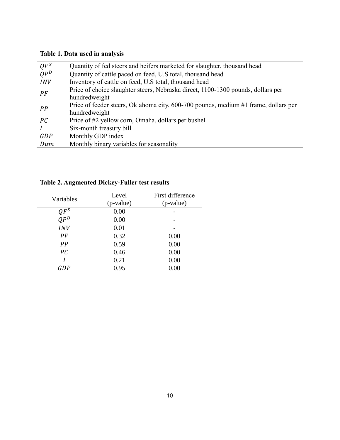# **Table 1. Data used in analysis**

| $QF^S$          | Quantity of fed steers and heifers marketed for slaughter, thousand head            |
|-----------------|-------------------------------------------------------------------------------------|
| OP <sup>D</sup> | Quantity of cattle paced on feed, U.S total, thousand head                          |
| <b>INV</b>      | Inventory of cattle on feed, U.S total, thousand head                               |
| PF              | Price of choice slaughter steers, Nebraska direct, 1100-1300 pounds, dollars per    |
|                 | hundredweight                                                                       |
| PP              | Price of feeder steers, Oklahoma city, 600-700 pounds, medium #1 frame, dollars per |
|                 | hundredweight                                                                       |
| PC              | Price of #2 yellow corn, Omaha, dollars per bushel                                  |
|                 | Six-month treasury bill                                                             |
| GDP             | Monthly GDP index                                                                   |
| Dum             | Monthly binary variables for seasonality                                            |
|                 |                                                                                     |

| Variables           | Level     | First difference |
|---------------------|-----------|------------------|
|                     | (p-value) | (p-value)        |
|                     | 0.00      |                  |
| $\frac{QF^S}{QP^D}$ | 0.00      |                  |
| <b>INV</b>          | 0.01      |                  |
| PF                  | 0.32      | 0.00             |
| PP                  | 0.59      | 0.00             |
| PC                  | 0.46      | 0.00             |
|                     | 0.21      | 0.00             |
| GDP                 | 0.95      | 0.00             |

**Table 2. Augmented Dickey-Fuller test results**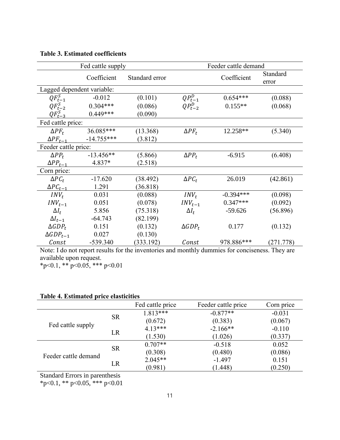| Fed cattle supply          |              |                | Feeder cattle demand |             |                   |
|----------------------------|--------------|----------------|----------------------|-------------|-------------------|
|                            | Coefficient  | Standard error |                      | Coefficient | Standard<br>error |
| Lagged dependent variable: |              |                |                      |             |                   |
| $QF_{t-1}^S$               | $-0.012$     | (0.101)        | $QP_{t-1}^D$         | $0.654***$  | (0.088)           |
| $QF_{t-2}^S$               | $0.304***$   | (0.086)        | $QP_{t-2}^D$         | $0.155**$   | (0.068)           |
| $QF_{t-3}^S$               | $0.449***$   | (0.090)        |                      |             |                   |
| Fed cattle price:          |              |                |                      |             |                   |
| $\Delta PF_t$              | 36.085***    | (13.368)       | $\Delta PF_t$        | 12.258**    | (5.340)           |
| $\Delta PF_{t-1}$          | $-14.755***$ | (3.812)        |                      |             |                   |
| Feeder cattle price:       |              |                |                      |             |                   |
| $\Delta PP_t$              | $-13.456**$  | (5.866)        | $\Delta PP_t$        | $-6.915$    | (6.408)           |
| $\Delta PP_{t-1}$          | 4.837*       | (2.518)        |                      |             |                   |
| Corn price:                |              |                |                      |             |                   |
| $\Delta PC_t$              | $-17.620$    | (38.492)       | $\Delta PC_t$        | 26.019      | (42.861)          |
| $\Delta PC_{t-1}$          | 1.291        | (36.818)       |                      |             |                   |
| $INV_t$                    | 0.031        | (0.088)        | $INV_t$              | $-0.394***$ | (0.098)           |
| $INV_{t-1}$                | 0.051        | (0.078)        | $INV_{t-1}$          | $0.347***$  | (0.092)           |
| $\Delta I_t$               | 5.856        | (75.318)       | $\Delta I_t$         | $-59.626$   | (56.896)          |
| $\Delta I_{t-1}$           | $-64.743$    | (82.199)       |                      |             |                   |
| $\triangle GDP_t$          | 0.151        | (0.132)        | $\triangle GDP_t$    | 0.177       | (0.132)           |
| $\triangle GDP_{t-1}$      | 0.027        | (0.130)        |                      |             |                   |
| Const                      | $-539.340$   | (333.192)      | Const                | 978.886***  | (271.778)         |

**Table 3. Estimated coefficients**

Note: I do not report results for the inventories and monthly dummies for conciseness. They are available upon request.

 $*p<0.1$ ,  $** p<0.05$ ,  $*** p<0.01$ 

|                      |           | Fed cattle price | Feeder cattle price | Corn price |
|----------------------|-----------|------------------|---------------------|------------|
|                      | <b>SR</b> | $1.813***$       | $-0.877**$          | $-0.031$   |
| Fed cattle supply    |           | (0.672)          | (0.383)             | (0.067)    |
|                      | LR        | $4.13***$        | $-2.166**$          | $-0.110$   |
|                      |           | (1.530)          | (1.026)             | (0.337)    |
|                      | <b>SR</b> | $0.707**$        | $-0.518$            | 0.052      |
| Feeder cattle demand |           | (0.308)          | (0.480)             | (0.086)    |
|                      | LR        | $2.045**$        | $-1.497$            | 0.151      |
|                      |           | (0.981)          | (1.448)             | (0.250)    |

Standard Errors in parenthesis

\*p<0.1, \*\* p<0.05, \*\*\* p<0.01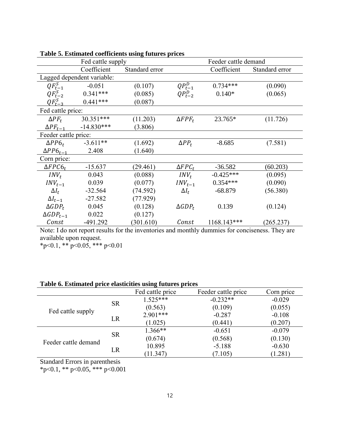|                      | Fed cattle supply          |                |                   | Feeder cattle demand |                |  |
|----------------------|----------------------------|----------------|-------------------|----------------------|----------------|--|
|                      | Coefficient                | Standard error |                   | Coefficient          | Standard error |  |
|                      | Lagged dependent variable: |                |                   |                      |                |  |
| $QF_{t-1}^S$         | $-0.051$                   | (0.107)        | $QP_{t-1}^D$      | $0.734***$           | (0.090)        |  |
| $QF_{t-2}^S$         | $0.341***$                 | (0.085)        | $QP_{t-2}^D$      | $0.140*$             | (0.065)        |  |
| $QF_{t-3}^S$         | $0.441***$                 | (0.087)        |                   |                      |                |  |
| Fed cattle price:    |                            |                |                   |                      |                |  |
| $\Delta PF_t$        | $30.351***$                | (11.203)       | $\Delta FPF_t$    | 23.765*              | (11.726)       |  |
| $\Delta PF_{t-1}$    | $-14.830***$               | (3.806)        |                   |                      |                |  |
| Feeder cattle price: |                            |                |                   |                      |                |  |
| $\Delta PP6_t$       | $-3.611**$                 | (1.692)        | $\Delta PP_t$     | $-8.685$             | (7.581)        |  |
| $\Delta PP6_{t-1}$   | 2.408                      | (1.640)        |                   |                      |                |  |
| Corn price:          |                            |                |                   |                      |                |  |
| $\Delta FPC6_t$      | $-15.637$                  | (29.461)       | $\Delta FPC_t$    | $-36.582$            | (60.203)       |  |
| $INV_t$              | 0.043                      | (0.088)        | $INV_t$           | $-0.425***$          | (0.095)        |  |
| $INV_{t-1}$          | 0.039                      | (0.077)        | $INV_{t-1}$       | $0.354***$           | (0.090)        |  |
| $\Delta I_t$         | $-32.564$                  | (74.592)       | $\Delta I_t$      | $-68.879$            | (56.380)       |  |
| $\Delta I_{t-1}$     | $-27.582$                  | (77.929)       |                   |                      |                |  |
| $\triangle GDP_t$    | 0.045                      | (0.128)        | $\triangle GDP_t$ | 0.139                | (0.124)        |  |
| $\Delta GDP_{t-1}$   | 0.022                      | (0.127)        |                   |                      |                |  |
| Const                | $-491.292$                 | (301.610)      | Const             | 1168.143***          | (265.237)      |  |

**Table 5. Estimated coefficients using futures prices** 

Note: I do not report results for the inventories and monthly dummies for conciseness. They are available upon request.

 $*p<0.1$ ,  $** p<0.05$ ,  $*** p<0.01$ 

# **Table 6. Estimated price elasticities using futures prices**

|                      |           | Fed cattle price | Feeder cattle price | Corn price |
|----------------------|-----------|------------------|---------------------|------------|
|                      | <b>SR</b> | $1.525***$       | $-0.232**$          | $-0.029$   |
|                      |           | (0.563)          | (0.109)             | (0.055)    |
| Fed cattle supply    | LR        | $2.901***$       | $-0.287$            | $-0.108$   |
|                      |           | (1.025)          | (0.441)             | (0.207)    |
|                      | <b>SR</b> | 1.366**          | $-0.651$            | $-0.079$   |
| Feeder cattle demand |           | (0.674)          | (0.568)             | (0.130)    |
|                      | LR        | 10.895           | $-5.188$            | $-0.630$   |
|                      |           | (11.347)         | (7.105)             | (1.281)    |

Standard Errors in parenthesis

\*p<0.1, \*\* p<0.05, \*\*\* p<0.001